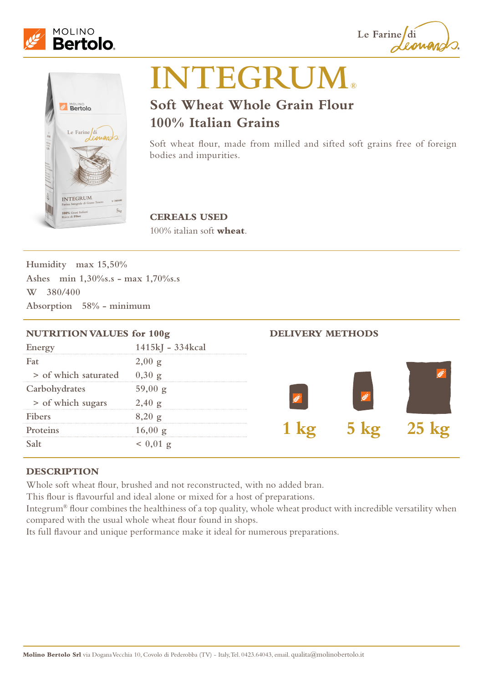

Le Farine di



# **INTEGRUM®**

# **Soft Wheat Whole Grain Flour 100% Italian Grains**

Soft wheat flour, made from milled and sifted soft grains free of foreign bodies and impurities.

## **CEREALS USED**

100% italian soft **wheat**.

**Humidity max 15,50% Ashes min 1,30%s.s - max 1,70%s.s W 380/400 Absorption 58% - minimum**

| <b>NUTRITION VALUES for 100g</b> |                   | <b>DELIVERY METHODS</b> |  |  |
|----------------------------------|-------------------|-------------------------|--|--|
| Energy                           | 1415kJ - 334kcal  |                         |  |  |
| Fat                              | $2,00 \text{ g}$  |                         |  |  |
| > of which saturated             | $0,30 \text{ g}$  |                         |  |  |
| Carbohydrates                    | $59,00 \text{ g}$ |                         |  |  |
| > of which sugars                | $40 \text{ g}$    |                         |  |  |
| Fibers                           | $20 \sigma$       |                         |  |  |
| Proteins                         | 6.00 $\sigma$     |                         |  |  |
|                                  |                   |                         |  |  |

### **DESCRIPTION**

Whole soft wheat flour, brushed and not reconstructed, with no added bran.

This flour is flavourful and ideal alone or mixed for a host of preparations.

Integrum® flour combines the healthiness of a top quality, whole wheat product with incredible versatility when compared with the usual whole wheat flour found in shops.

Its full flavour and unique performance make it ideal for numerous preparations.